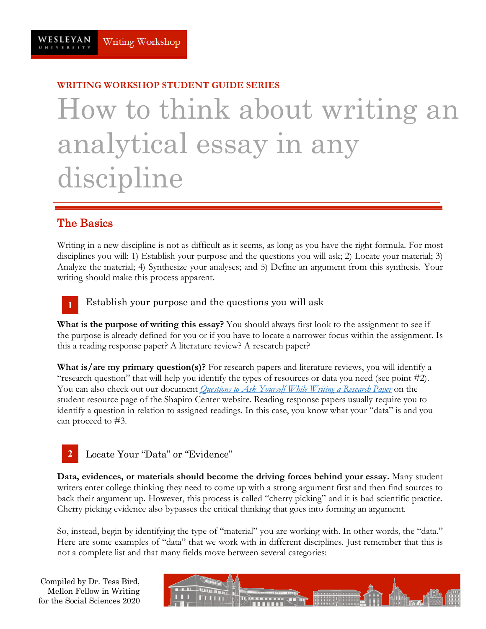# **WRITING WORKSHOP STUDENT GUIDE SERIES** How to think about writing an analytical essay in any discipline

# The Basics

**1**

Writing in a new discipline is not as difficult as it seems, as long as you have the right formula. For most disciplines you will: 1) Establish your purpose and the questions you will ask; 2) Locate your material; 3) Analyze the material; 4) Synthesize your analyses; and 5) Define an argument from this synthesis. Your writing should make this process apparent.

Establish your purpose and the questions you will ask

**What is the purpose of writing this essay?** You should always first look to the assignment to see if the purpose is already defined for you or if you have to locate a narrower focus within the assignment. Is this a reading response paper? A literature review? A research paper?

**What is/are my primary question(s)?** For research papers and literature reviews, you will identify a "research question" that will help you identify the types of resources or data you need (see point #2). You can also check out our document *Questions to Ask Yourself While Writing a Research Paper* on the student resource page of the Shapiro Center website. Reading response papers usually require you to identify a question in relation to assigned readings. In this case, you know what your "data" is and you can proceed to #3.



Locate Your "Data" or "Evidence"

**Data, evidences, or materials should become the driving forces behind your essay.** Many student writers enter college thinking they need to come up with a strong argument first and then find sources to back their argument up. However, this process is called "cherry picking" and it is bad scientific practice. Cherry picking evidence also bypasses the critical thinking that goes into forming an argument.

So, instead, begin by identifying the type of "material" you are working with. In other words, the "data." Here are some examples of "data" that we work with in different disciplines. Just remember that this is not a complete list and that many fields move between several categories:

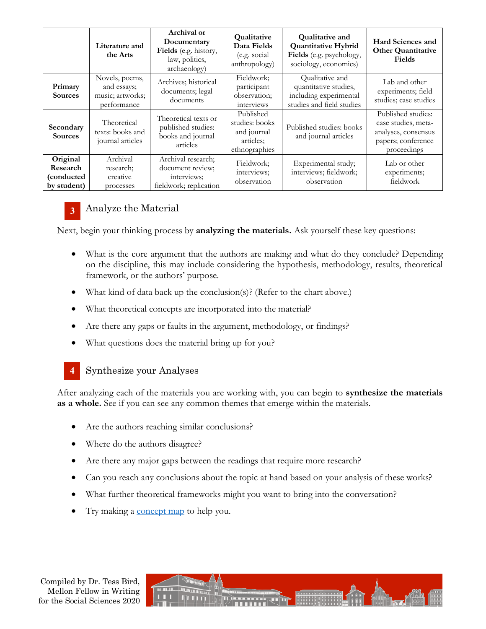|                                                   | Literature and<br>the Arts                                       | Archival or<br>Documentary<br>Fields (e.g. history,<br>law, politics,<br>archaeology) | Qualitative<br>Data Fields<br>(e.g. social<br>anthropology)              | <b>Qualitative and</b><br><b>Quantitative Hybrid</b><br>Fields (e.g. psychology,<br>sociology, economics) | Hard Sciences and<br><b>Other Quantitative</b><br>Fields                                              |
|---------------------------------------------------|------------------------------------------------------------------|---------------------------------------------------------------------------------------|--------------------------------------------------------------------------|-----------------------------------------------------------------------------------------------------------|-------------------------------------------------------------------------------------------------------|
| Primary<br><b>Sources</b>                         | Novels, poems,<br>and essays;<br>music; artworks;<br>performance | Archives; historical<br>documents; legal<br>documents                                 | Fieldwork;<br>participant<br>observation;<br>interviews                  | Qualitative and<br>quantitative studies,<br>including experimental<br>studies and field studies           | Lab and other<br>experiments; field<br>studies; case studies                                          |
| Secondary<br><b>Sources</b>                       | Theoretical<br>texts: books and<br>journal articles              | Theoretical texts or<br>published studies:<br>books and journal<br>articles           | Published<br>studies: books<br>and journal<br>articles;<br>ethnographies | Published studies: books<br>and journal articles                                                          | Published studies:<br>case studies, meta-<br>analyses, consensus<br>papers; conference<br>proceedings |
| Original<br>Research<br>(conducted<br>by student) | Archival<br>research;<br>creative<br>processes                   | Archival research;<br>document review;<br>interviews;<br>fieldwork; replication       | Fieldwork;<br>interviews;<br>observation                                 | Experimental study;<br>interviews; fieldwork;<br>observation                                              | Lab or other<br>experiments;<br>fieldwork                                                             |



# Analyze the Material

Next, begin your thinking process by **analyzing the materials.** Ask yourself these key questions:

- What is the core argument that the authors are making and what do they conclude? Depending on the discipline, this may include considering the hypothesis, methodology, results, theoretical framework, or the authors' purpose.
- What kind of data back up the conclusion(s)? (Refer to the chart above.)
- What theoretical concepts are incorporated into the material?
- Are there any gaps or faults in the argument, methodology, or findings?
- What questions does the material bring up for you?
- Synthesize your Analyses **4**

After analyzing each of the materials you are working with, you can begin to **synthesize the materials as a whole.** See if you can see any common themes that emerge within the materials.

- Are the authors reaching similar conclusions?
- Where do the authors disagree?
- Are there any major gaps between the readings that require more research?
- Can you reach any conclusions about the topic at hand based on your analysis of these works?
- What further theoretical frameworks might you want to bring into the conversation?
- Try making a concept map to help you.